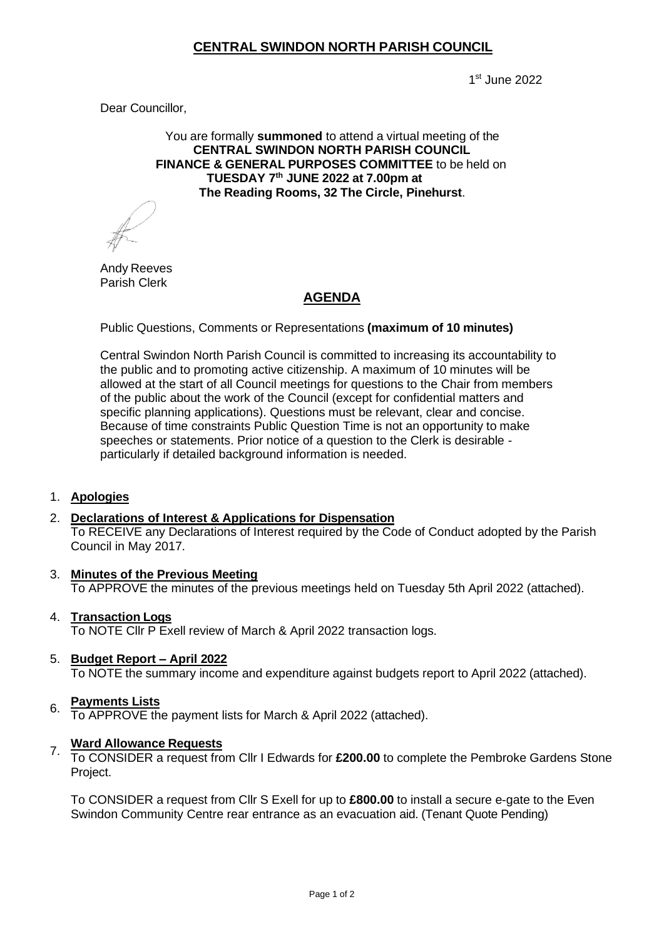## **CENTRAL SWINDON NORTH PARISH COUNCIL**

1 st June 2022

Dear Councillor,

You are formally **summoned** to attend a virtual meeting of the **CENTRAL SWINDON NORTH PARISH COUNCIL FINANCE & GENERAL PURPOSES COMMITTEE** to be held on **TUESDAY 7th JUNE 2022 at 7.00pm at The Reading Rooms, 32 The Circle, Pinehurst**.

Andy Reeves Parish Clerk

# **AGENDA**

Public Questions, Comments or Representations **(maximum of 10 minutes)**

Central Swindon North Parish Council is committed to increasing its accountability to the public and to promoting active citizenship. A maximum of 10 minutes will be allowed at the start of all Council meetings for questions to the Chair from members of the public about the work of the Council (except for confidential matters and specific planning applications). Questions must be relevant, clear and concise. Because of time constraints Public Question Time is not an opportunity to make speeches or statements. Prior notice of a question to the Clerk is desirable particularly if detailed background information is needed.

### 1. **Apologies**

#### 2. **Declarations of Interest & Applications for Dispensation**

To RECEIVE any Declarations of Interest required by the Code of Conduct adopted by the Parish Council in May 2017.

- 3. **Minutes of the Previous Meeting** To APPROVE the minutes of the previous meetings held on Tuesday 5th April 2022 (attached).
- **Transaction Logs** 4. To NOTE Cllr P Exell review of March & April 2022 transaction logs.
- **Budget Report – April 2022** 5. To NOTE the summary income and expenditure against budgets report to April 2022 (attached).

#### **Payments Lists** 6.

To APPROVE the payment lists for March & April 2022 (attached).

#### **Ward Allowance Requests** 7.

To CONSIDER a request from Cllr I Edwards for **£200.00** to complete the Pembroke Gardens Stone Project.

To CONSIDER a request from Cllr S Exell for up to **£800.00** to install a secure e-gate to the Even Swindon Community Centre rear entrance as an evacuation aid. (Tenant Quote Pending)